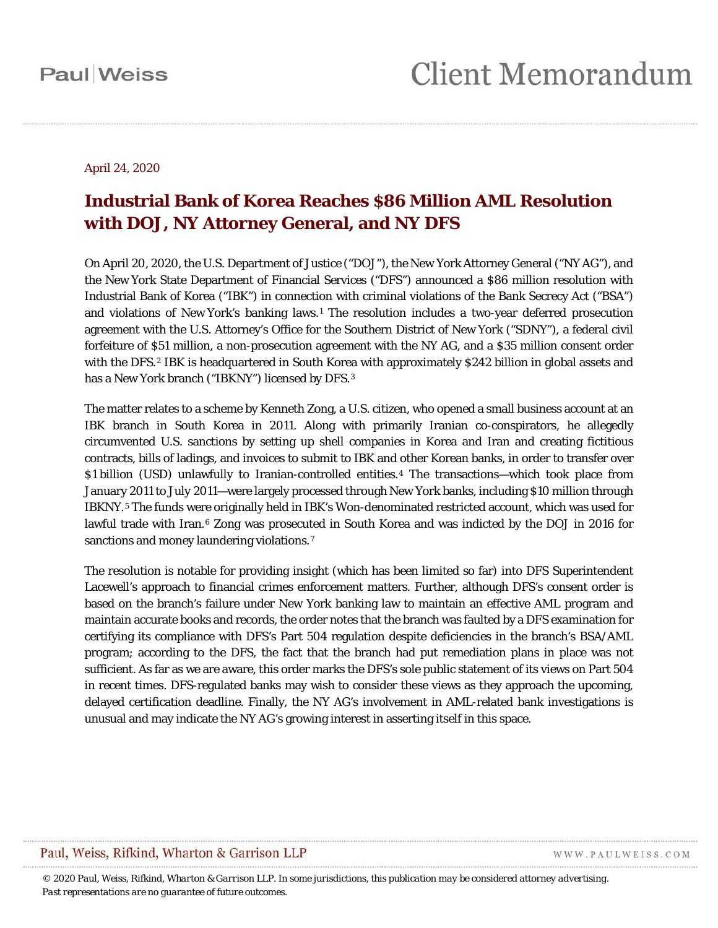#### April 24, 2020

#### **Industrial Bank of Korea Reaches \$86 Million AML Resolution with DOJ, NY Attorney General, and NY DFS**

On April 20, 2020, the U.S. Department of Justice ("DOJ"), the New York Attorney General ("NY AG"), and the New York State Department of Financial Services ("DFS") announced a \$86 million resolution with Industrial Bank of Korea ("IBK") in connection with criminal violations of the Bank Secrecy Act ("BSA") and violations of New York's banking laws.<sup>[1](#page-5-0)</sup> The resolution includes a two-year deferred prosecution agreement with the U.S. Attorney's Office for the Southern District of New York ("SDNY"), a federal civil forfeiture of \$51 million, a non-prosecution agreement with the NY AG, and a \$35 million consent order with the DFS.<sup>[2](#page-5-1)</sup> IBK is headquartered in South Korea with approximately \$242 billion in global assets and has a New York branch ("IBKNY") licensed by DFS.<sup>[3](#page-5-2)</sup>

The matter relates to a scheme by Kenneth Zong, a U.S. citizen, who opened a small business account at an IBK branch in South Korea in 2011. Along with primarily Iranian co-conspirators, he allegedly circumvented U.S. sanctions by setting up shell companies in Korea and Iran and creating fictitious contracts, bills of ladings, and invoices to submit to IBK and other Korean banks, in order to transfer over \$1 billion (USD) unlawfully to Iranian-controlled entities.[4](#page-5-3) The transactions—which took place from January 2011 to July 2011—were largely processed through New York banks, including \$10 million through IBKNY.[5](#page-5-4) The funds were originally held in IBK's Won-denominated restricted account, which was used for lawful trade with Iran.<sup>[6](#page-5-5)</sup> Zong was prosecuted in South Korea and was indicted by the DOJ in 2016 for sanctions and money laundering violations.<sup>[7](#page-5-6)</sup>

The resolution is notable for providing insight (which has been limited so far) into DFS Superintendent Lacewell's approach to financial crimes enforcement matters. Further, although DFS's consent order is based on the branch's failure under New York banking law to maintain an effective AML program and maintain accurate books and records, the order notes that the branch was faulted by a DFS examination for certifying its compliance with DFS's Part 504 regulation despite deficiencies in the branch's BSA/AML program; according to the DFS, the fact that the branch had put remediation plans in place was not sufficient. As far as we are aware, this order marks the DFS's sole public statement of its views on Part 504 in recent times. DFS-regulated banks may wish to consider these views as they approach the upcoming, delayed certification deadline. Finally, the NY AG's involvement in AML-related bank investigations is unusual and may indicate the NY AG's growing interest in asserting itself in this space.

#### Paul, Weiss, Rifkind, Wharton & Garrison LLP

WWW.PAULWEISS.COM

*© 2020 Paul, Weiss, Rifkind, Wharton & Garrison LLP. In some jurisdictions, this publication may be considered attorney advertising. Past representations are no guarantee of future outcomes.*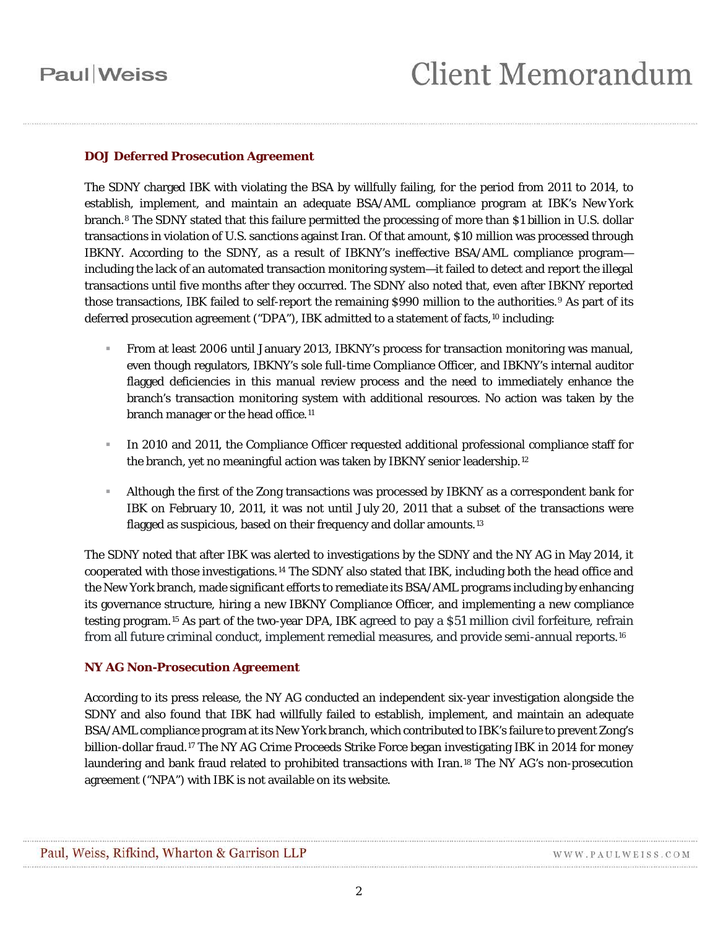#### **DOJ Deferred Prosecution Agreement**

The SDNY charged IBK with violating the BSA by willfully failing, for the period from 2011 to 2014, to establish, implement, and maintain an adequate BSA/AML compliance program at IBK's New York branch.[8](#page-5-7) The SDNY stated that this failure permitted the processing of more than \$1 billion in U.S. dollar transactions in violation of U.S. sanctions against Iran. Of that amount, \$10 million was processed through IBKNY. According to the SDNY, as a result of IBKNY's ineffective BSA/AML compliance program including the lack of an automated transaction monitoring system—it failed to detect and report the illegal transactions until five months after they occurred. The SDNY also noted that, even after IBKNY reported those transactions, IBK failed to self-report the remaining \$[9](#page-5-8)90 million to the authorities.<sup>9</sup> As part of its deferred prosecution agreement ("DPA"), IBK admitted to a statement of facts,<sup>[10](#page-6-0)</sup> including:

- From at least 2006 until January 2013, IBKNY's process for transaction monitoring was manual, even though regulators, IBKNY's sole full-time Compliance Officer, and IBKNY's internal auditor flagged deficiencies in this manual review process and the need to immediately enhance the branch's transaction monitoring system with additional resources. No action was taken by the branch manager or the head office.<sup>11</sup>
- In 2010 and 2011, the Compliance Officer requested additional professional compliance staff for the branch, yet no meaningful action was taken by IBKNY senior leadership.<sup>[12](#page-6-2)</sup>
- Although the first of the Zong transactions was processed by IBKNY as a correspondent bank for IBK on February 10, 2011, it was not until July 20, 2011 that a subset of the transactions were flagged as suspicious, based on their frequency and dollar amounts.<sup>[13](#page-6-3)</sup>

The SDNY noted that after IBK was alerted to investigations by the SDNY and the NY AG in May 2014, it cooperated with those investigations.[14](#page-6-4) The SDNY also stated that IBK, including both the head office and the New York branch, made significant efforts to remediate its BSA/AML programs including by enhancing its governance structure, hiring a new IBKNY Compliance Officer, and implementing a new compliance testing program.[15](#page-6-5) As part of the two-year DPA, IBK agreed to pay a \$51 million civil forfeiture, refrain from all future criminal conduct, implement remedial measures, and provide semi-annual reports[.16](#page-6-6)

#### **NY AG Non-Prosecution Agreement**

According to its press release, the NY AG conducted an independent six-year investigation alongside the SDNY and also found that IBK had willfully failed to establish, implement, and maintain an adequate BSA/AML compliance program at its New York branch, which contributed to IBK's failure to prevent Zong's billion-dollar fraud.<sup>[17](#page-6-7)</sup> The NY AG Crime Proceeds Strike Force began investigating IBK in 2014 for money laundering and bank fraud related to prohibited transactions with Iran.[18](#page-6-8) The NY AG's non-prosecution agreement ("NPA") with IBK is not available on its website.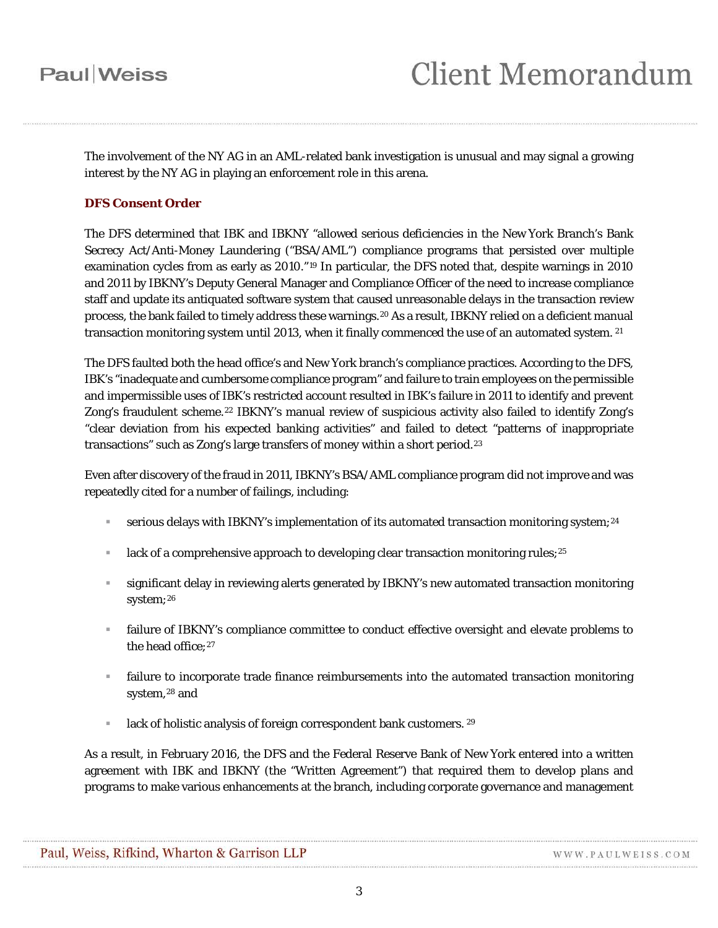The involvement of the NY AG in an AML-related bank investigation is unusual and may signal a growing interest by the NY AG in playing an enforcement role in this arena.

#### **DFS Consent Order**

The DFS determined that IBK and IBKNY "allowed serious deficiencies in the New York Branch's Bank Secrecy Act/Anti-Money Laundering ("BSA/AML") compliance programs that persisted over multiple examination cycles from as early as 2010."[19](#page-6-9) In particular, the DFS noted that, despite warnings in 2010 and 2011 by IBKNY's Deputy General Manager and Compliance Officer of the need to increase compliance staff and update its antiquated software system that caused unreasonable delays in the transaction review process, the bank failed to timely address these warnings.[20](#page-6-10) As a result, IBKNY relied on a deficient manual transaction monitoring system until 2013, when it finally commenced the use of an automated system. [21](#page-6-11)

The DFS faulted both the head office's and New York branch's compliance practices. According to the DFS, IBK's "inadequate and cumbersome compliance program" and failure to train employees on the permissible and impermissible uses of IBK's restricted account resulted in IBK's failure in 2011 to identify and prevent Zong's fraudulent scheme.<sup>[22](#page-6-12)</sup> IBKNY's manual review of suspicious activity also failed to identify Zong's "clear deviation from his expected banking activities" and failed to detect "patterns of inappropriate transactions" such as Zong's large transfers of money within a short period.[23](#page-6-13)

Even after discovery of the fraud in 2011, IBKNY's BSA/AML compliance program did not improve and was repeatedly cited for a number of failings, including:

- serious delays with IBKNY's implementation of its automated transaction monitoring system;<sup>[24](#page-6-14)</sup>
- lack of a comprehensive approach to developing clear transaction monitoring rules;<sup>[25](#page-6-15)</sup>
- significant delay in reviewing alerts generated by IBKNY's new automated transaction monitoring system;<sup>[26](#page-6-16)</sup>
- failure of IBKNY's compliance committee to conduct effective oversight and elevate problems to the head office: [27](#page-6-17)
- failure to incorporate trade finance reimbursements into the automated transaction monitoring system,<sup>[28](#page-6-18)</sup> and
- $\blacksquare$  lack of holistic analysis of foreign correspondent bank customers. [29](#page-6-19)

As a result, in February 2016, the DFS and the Federal Reserve Bank of New York entered into a written agreement with IBK and IBKNY (the "Written Agreement") that required them to develop plans and programs to make various enhancements at the branch, including corporate governance and management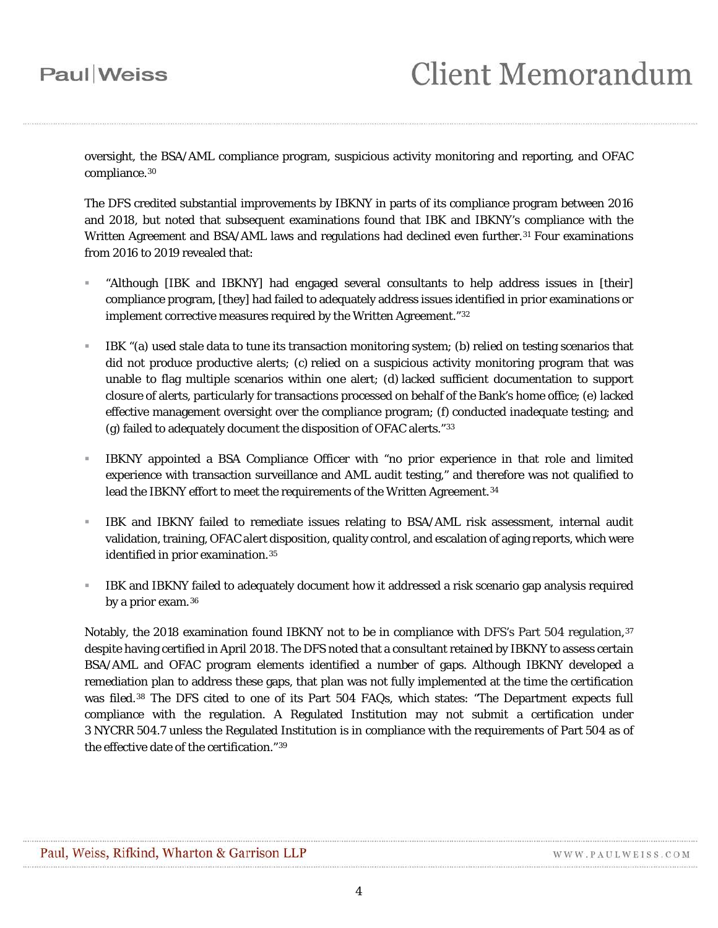oversight, the BSA/AML compliance program, suspicious activity monitoring and reporting, and OFAC compliance.[30](#page-6-20)

The DFS credited substantial improvements by IBKNY in parts of its compliance program between 2016 and 2018, but noted that subsequent examinations found that IBK and IBKNY's compliance with the Written Agreement and BSA/AML laws and regulations had declined even further.<sup>[31](#page-6-21)</sup> Four examinations from 2016 to 2019 revealed that:

- "Although [IBK and IBKNY] had engaged several consultants to help address issues in [their] compliance program, [they] had failed to adequately address issues identified in prior examinations or implement corrective measures required by the Written Agreement."[32](#page-6-22)
- IBK "(a) used stale data to tune its transaction monitoring system; (b) relied on testing scenarios that did not produce productive alerts; (c) relied on a suspicious activity monitoring program that was unable to flag multiple scenarios within one alert; (d) lacked sufficient documentation to support closure of alerts, particularly for transactions processed on behalf of the Bank's home office; (e) lacked effective management oversight over the compliance program; (f) conducted inadequate testing; and (g) failed to adequately document the disposition of OFAC alerts."[33](#page-6-23)
- IBKNY appointed a BSA Compliance Officer with "no prior experience in that role and limited experience with transaction surveillance and AML audit testing," and therefore was not qualified to lead the IBKNY effort to meet the requirements of the Written Agreement.<sup>[34](#page-6-24)</sup>
- IBK and IBKNY failed to remediate issues relating to BSA/AML risk assessment, internal audit validation, training, OFAC alert disposition, quality control, and escalation of aging reports, which were identified in prior examination.<sup>[35](#page-6-25)</sup>
- IBK and IBKNY failed to adequately document how it addressed a risk scenario gap analysis required by a prior exam.<sup>[36](#page-6-26)</sup>

Notably, the 2018 examination found IBKNY not to be in compliance with DFS's Part 504 regulation, [37](#page-6-27) despite having certified in April 2018. The DFS noted that a consultant retained by IBKNY to assess certain BSA/AML and OFAC program elements identified a number of gaps. Although IBKNY developed a remediation plan to address these gaps, that plan was not fully implemented at the time the certification was filed.[38](#page-6-28) The DFS cited to one of its Part 504 FAQs, which states: "The Department expects full compliance with the regulation. A Regulated Institution may not submit a certification under 3 NYCRR 504.7 unless the Regulated Institution is in compliance with the requirements of Part 504 as of the effective date of the certification."[39](#page-6-29)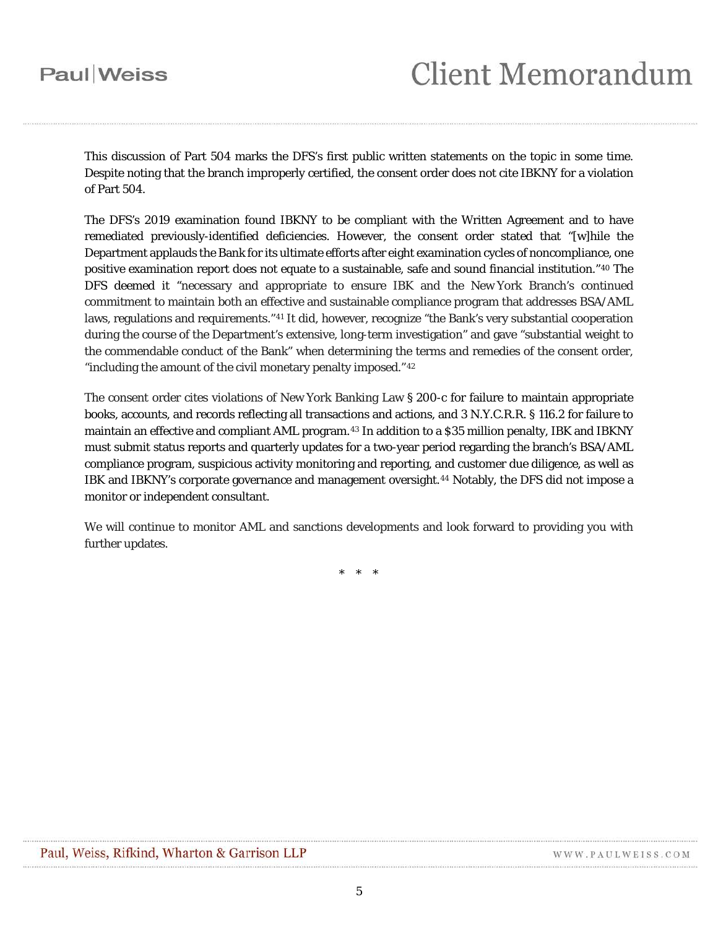## **Client Memorandum**

This discussion of Part 504 marks the DFS's first public written statements on the topic in some time. Despite noting that the branch improperly certified, the consent order does not cite IBKNY for a violation of Part 504.

The DFS's 2019 examination found IBKNY to be compliant with the Written Agreement and to have remediated previously-identified deficiencies. However, the consent order stated that "[w]hile the Department applauds the Bank for its ultimate efforts after eight examination cycles of noncompliance, one positive examination report does not equate to a sustainable, safe and sound financial institution."[40](#page-6-30) The DFS deemed it "necessary and appropriate to ensure IBK and the New York Branch's continued commitment to maintain both an effective and sustainable compliance program that addresses BSA/AML laws, regulations and requirements."[41](#page-7-0) It did, however, recognize "the Bank's very substantial cooperation during the course of the Department's extensive, long-term investigation" and gave "substantial weight to the commendable conduct of the Bank" when determining the terms and remedies of the consent order, "including the amount of the civil monetary penalty imposed."<sup>[42](#page-7-1)</sup>

The consent order cites violations of New York Banking Law § 200-c for failure to maintain appropriate books, accounts, and records reflecting all transactions and actions, and 3 N.Y.C.R.R. § 116.2 for failure to maintain an effective and compliant AML program.[43](#page-7-2) In addition to a \$35 million penalty, IBK and IBKNY must submit status reports and quarterly updates for a two-year period regarding the branch's BSA/AML compliance program, suspicious activity monitoring and reporting, and customer due diligence, as well as IBK and IBKNY's corporate governance and management oversight.[44](#page-7-3) Notably, the DFS did not impose a monitor or independent consultant.

We will continue to monitor AML and sanctions developments and look forward to providing you with further updates.

\* \* \*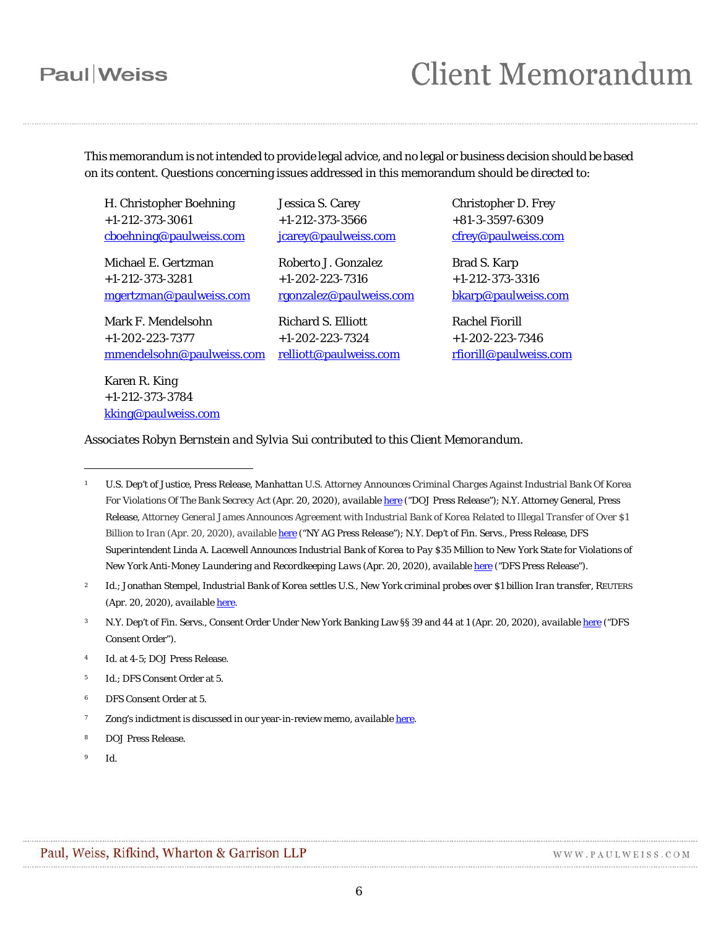## **Client Memorandum**

This memorandum is not intended to provide legal advice, and no legal or business decision should be based on its content. Questions concerning issues addressed in this memorandum should be directed to:

H. Christopher Boehning +1-212-373-3061 [cboehning@paulweiss.com](mailto:cboehning@paulweiss.com)

Michael E. Gertzman +1-212-373-3281 [mgertzman@paulweiss.com](mailto:mgertzman@paulweiss.com)

Mark F. Mendelsohn +1-202-223-7377 [mmendelsohn@paulweiss.com](mailto:mmendelsohn@paulweiss.com)

Karen R. King +1-212-373-3784 [kking@paulweiss.com](mailto:kking@paulweiss.com) Jessica S. Carey +1-212-373-3566 [jcarey@paulweiss.com](mailto:jcarey@paulweiss.com)

Roberto J. Gonzalez +1-202-223-7316 [rgonzalez@paulweiss.com](mailto:rgonzalez@paulweiss.com)

Richard S. Elliott +1-202-223-7324 [relliott@paulweiss.com](mailto:relliott@paulweiss.com) Christopher D. Frey +81-3-3597-6309 [cfrey@paulweiss.com](mailto:cfrey@paulweiss.com)

Brad S. Karp +1-212-373-3316 [bkarp@paulweiss.com](mailto:bkarp@paulweiss.com)

Rachel Fiorill +1-202-223-7346 [rfiorill@paulweiss.com](mailto:rfiorill@paulweiss.com)

*Associates Robyn Bernstein and Sylvia Sui contributed to this Client Memorandum.* 

- <span id="page-5-3"></span><sup>4</sup> *Id.* at 4-5; DOJ Press Release.
- <span id="page-5-4"></span><sup>5</sup> *Id.*; DFS Consent Order at 5.
- <span id="page-5-5"></span>DFS Consent Order at 5.
- <span id="page-5-6"></span><sup>7</sup> Zong's indictment is discussed in our year-in-review memo, *available* [here.](https://www.paulweiss.com/practices/litigation/economic-sanctions-aml/publications/economic-sanctions-and-anti-money-laundering-developments-2017-year-in-review?id=25852)
- <span id="page-5-7"></span><sup>8</sup> DOJ Press Release.
- <span id="page-5-8"></span><sup>9</sup> *Id*.

 $\overline{a}$ 

<span id="page-5-0"></span><sup>1</sup> U.S. Dep't of Justice, Press Release, *Manhattan U.S. Attorney Announces Criminal Charges Against Industrial Bank Of Korea For Violations Of The Bank Secrecy Act* (Apr. 20, 2020), *available* [here](https://www.justice.gov/usao-sdny/pr/manhattan-us-attorney-announces-criminal-charges-against-industrial-bank-korea) ("DOJ Press Release"); N.Y. Attorney General, Press Release, *Attorney General James Announces Agreement with Industrial Bank of Korea Related to Illegal Transfer of Over \$1 Billion to Iran* (Apr. 20, 2020)*, available* [here](https://ag.ny.gov/press-release/2020/attorney-general-james-announces-agreement-industrial-bank-korea-related-illegal) ("NY AG Press Release"); N.Y. Dep't of Fin. Servs., Press Release, *DFS Superintendent Linda A. Lacewell Announces Industrial Bank of Korea to Pay \$35 Million to New York State for Violations of New York Anti-Money Laundering and Recordkeeping Laws* (Apr. 20, 2020), *available* [here](https://www.dfs.ny.gov/press_releases/pr202004201) ("DFS Press Release").

<span id="page-5-1"></span><sup>2</sup> *Id.*; Jonathan Stempel, *Industrial Bank of Korea settles U.S., New York criminal probes over \$1 billion Iran transfer*, REUTERS (Apr. 20, 2020), *available* [here.](https://www.reuters.com/article/us-ibk-new-york/industrial-bank-of-korea-settles-u-s-new-york-criminal-probes-over-1-billion-iran-transfer-idUSKBN2221ZB)

<span id="page-5-2"></span><sup>3</sup> N.Y. Dep't of Fin. Servs., Consent Order Under New York Banking Law §§ 39 and 44 at 1 (Apr. 20, 2020), *available* [here](https://www.dfs.ny.gov/system/files/documents/2020/04/ea20200419_co_ibk_ibk_ny.pdf) ("DFS Consent Order").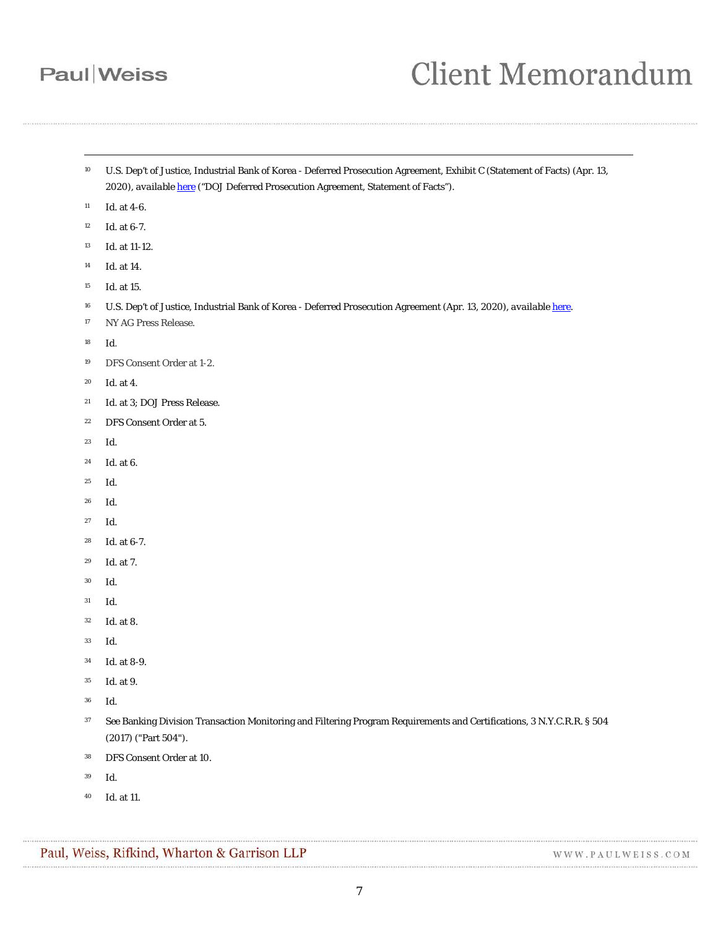-

# **Client Memorandum**

- <span id="page-6-0"></span> U.S. Dep't of Justice, Industrial Bank of Korea - Deferred Prosecution Agreement, Exhibit C (Statement of Facts) (Apr. 13, 2020), *available* [here](https://www.justice.gov/usao-sdny/press-release/file/1270016/download) ("DOJ Deferred Prosecution Agreement, Statement of Facts").
- <span id="page-6-1"></span>*Id.* at 4-6.
- <span id="page-6-2"></span>*Id.* at 6-7.
- <span id="page-6-3"></span>*Id.* at 11-12.
- <span id="page-6-4"></span>*Id.* at 14.
- <span id="page-6-5"></span>*Id.* at 15.
- <span id="page-6-6"></span>U.S. Dep't of Justice, Industrial Bank of Korea - Deferred Prosecution Agreement (Apr. 13, 2020), *available* [here.](https://www.justice.gov/usao-sdny/press-release/file/1270016/download)
- <span id="page-6-7"></span>NY AG Press Release.
- <span id="page-6-8"></span>*Id*.
- <span id="page-6-9"></span>DFS Consent Order at 1-2.
- <span id="page-6-10"></span>*Id.* at 4.
- <span id="page-6-11"></span>*Id.* at 3; DOJ Press Release.
- <span id="page-6-12"></span>DFS Consent Order at 5.
- <span id="page-6-13"></span>*Id.*
- <span id="page-6-14"></span>*Id.* at 6.
- <span id="page-6-15"></span>*Id.*
- <span id="page-6-16"></span>*Id.*
- <span id="page-6-17"></span>*Id.*
- <span id="page-6-18"></span>*Id.* at 6-7.
- <span id="page-6-19"></span>*Id.* at 7.
- <span id="page-6-20"></span>*Id.*
- <span id="page-6-21"></span>*Id.*
- <span id="page-6-22"></span>*Id.* at 8.
- <span id="page-6-23"></span>*Id.*
- <span id="page-6-24"></span>*Id.* at 8-9.
- <span id="page-6-25"></span>*Id.* at 9.
- <span id="page-6-26"></span>*Id.*
- <span id="page-6-27"></span> *See* Banking Division Transaction Monitoring and Filtering Program Requirements and Certifications, 3 N.Y.C.R.R. § 504 (2017) ("Part 504").
- <span id="page-6-28"></span>DFS Consent Order at 10.
- <span id="page-6-29"></span>*Id.*
- <span id="page-6-30"></span>*Id*. at 11.